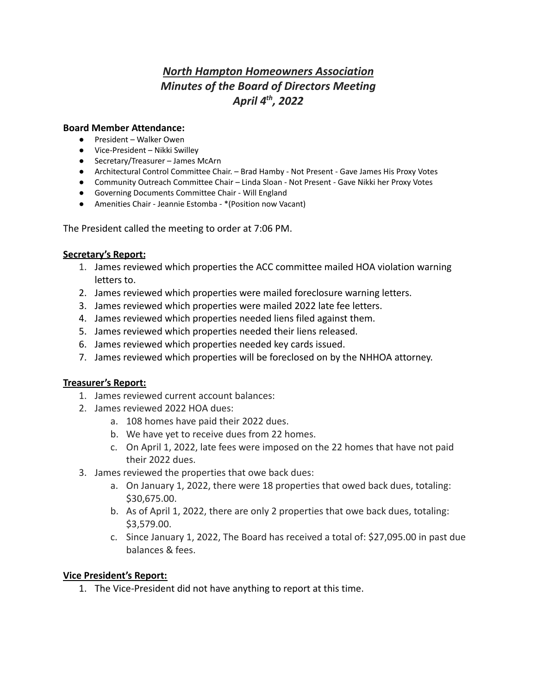# *North Hampton Homeowners Association Minutes of the Board of Directors Meeting April 4th , 2022*

#### **Board Member Attendance:**

- President Walker Owen
- Vice-President Nikki Swilley
- Secretary/Treasurer James McArn
- Architectural Control Committee Chair. Brad Hamby Not Present Gave James His Proxy Votes
- Community Outreach Committee Chair Linda Sloan Not Present Gave Nikki her Proxy Votes
- Governing Documents Committee Chair Will England
- Amenities Chair Jeannie Estomba \*(Position now Vacant)

The President called the meeting to order at 7:06 PM.

#### **Secretary's Report:**

- 1. James reviewed which properties the ACC committee mailed HOA violation warning letters to.
- 2. James reviewed which properties were mailed foreclosure warning letters.
- 3. James reviewed which properties were mailed 2022 late fee letters.
- 4. James reviewed which properties needed liens filed against them.
- 5. James reviewed which properties needed their liens released.
- 6. James reviewed which properties needed key cards issued.
- 7. James reviewed which properties will be foreclosed on by the NHHOA attorney.

#### **Treasurer's Report:**

- 1. James reviewed current account balances:
- 2. James reviewed 2022 HOA dues:
	- a. 108 homes have paid their 2022 dues.
	- b. We have yet to receive dues from 22 homes.
	- c. On April 1, 2022, late fees were imposed on the 22 homes that have not paid their 2022 dues.
- 3. James reviewed the properties that owe back dues:
	- a. On January 1, 2022, there were 18 properties that owed back dues, totaling: \$30,675.00.
	- b. As of April 1, 2022, there are only 2 properties that owe back dues, totaling: \$3,579.00.
	- c. Since January 1, 2022, The Board has received a total of: \$27,095.00 in past due balances & fees.

#### **Vice President's Report:**

1. The Vice-President did not have anything to report at this time.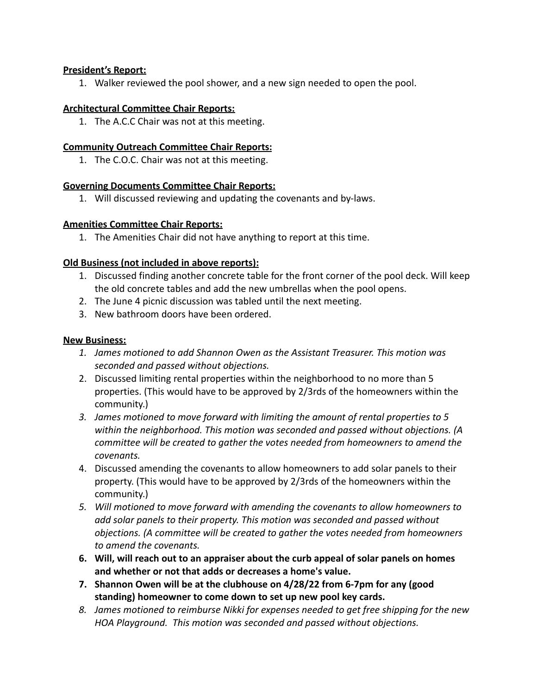## **President's Report:**

1. Walker reviewed the pool shower, and a new sign needed to open the pool.

## **Architectural Committee Chair Reports:**

1. The A.C.C Chair was not at this meeting.

## **Community Outreach Committee Chair Reports:**

1. The C.O.C. Chair was not at this meeting.

## **Governing Documents Committee Chair Reports:**

1. Will discussed reviewing and updating the covenants and by-laws.

## **Amenities Committee Chair Reports:**

1. The Amenities Chair did not have anything to report at this time.

# **Old Business (not included in above reports):**

- 1. Discussed finding another concrete table for the front corner of the pool deck. Will keep the old concrete tables and add the new umbrellas when the pool opens.
- 2. The June 4 picnic discussion was tabled until the next meeting.
- 3. New bathroom doors have been ordered.

#### **New Business:**

- *1. James motioned to add Shannon Owen as the Assistant Treasurer. This motion was seconded and passed without objections.*
- 2. Discussed limiting rental properties within the neighborhood to no more than 5 properties. (This would have to be approved by 2/3rds of the homeowners within the community.)
- *3. James motioned to move forward with limiting the amount of rental properties to 5 within the neighborhood. This motion was seconded and passed without objections. (A committee will be created to gather the votes needed from homeowners to amend the covenants.*
- 4. Discussed amending the covenants to allow homeowners to add solar panels to their property. (This would have to be approved by 2/3rds of the homeowners within the community.)
- *5. Will motioned to move forward with amending the covenants to allow homeowners to add solar panels to their property. This motion was seconded and passed without objections. (A committee will be created to gather the votes needed from homeowners to amend the covenants.*
- **6. Will, will reach out to an appraiser about the curb appeal of solar panels on homes and whether or not that adds or decreases a home's value.**
- **7. Shannon Owen will be at the clubhouse on 4/28/22 from 6-7pm for any (good standing) homeowner to come down to set up new pool key cards.**
- *8. James motioned to reimburse Nikki for expenses needed to get free shipping for the new HOA Playground. This motion was seconded and passed without objections.*